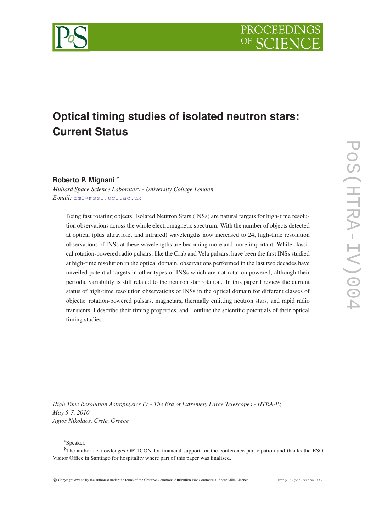

# **Optical timing studies of isolated neutron stars: Current Status**

## **Roberto P. Mignani**∗†

*Mullard Space Science Laboratory - University College London E-mail:* [rm2@mssl.ucl.ac.uk](mailto:rm2@mssl.ucl.ac.uk)

Being fast rotating objects, Isolated Neutron Stars (INSs) are natural targets for high-time resolution observations across the whole electromagnetic spectrum. With the number of objects detected at optical (plus ultraviolet and infrared) wavelengths now increased to 24, high-time resolution observations of INSs at these wavelengths are becoming more and more important. While classical rotation-powered radio pulsars, like the Crab and Vela pulsars, have been the first INSs studied at high-time resolution in the optical domain, observations performed in the last two decades have unveiled potential targets in other types of INSs which are not rotation powered, although their periodic variability is still related to the neutron star rotation. In this paper I review the current status of high-time resolution observations of INSs in the optical domain for different classes of objects: rotation-powered pulsars, magnetars, thermally emitting neutron stars, and rapid radio transients, I describe their timing properties, and I outline the scientific potentials of their optical timing studies.

*High Time Resolution Astrophysics IV - The Era of Extremely Large Telescopes - HTRA-IV, May 5-7, 2010 Agios Nikolaos, Crete, Greece*

<sup>∗</sup>Speaker.

<sup>†</sup>The author acknowledges OPTICON for financial support for the conference participation and thanks the ESO Visitor Office in Santiago for hospitality where part of this paper was finalised.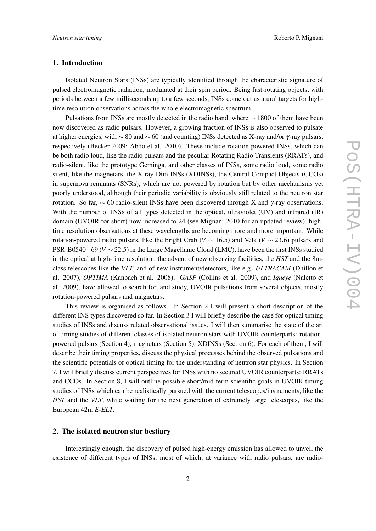#### 1. Introduction

Isolated Neutron Stars (INSs) are typically identified through the characteristic signature of pulsed electromagnetic radiation, modulated at their spin period. Being fast-rotating objects, with periods between a few milliseconds up to a few seconds, INSs come out as atural targets for hightime resolution observations across the whole electromagnetic spectrum.

Pulsations from INSs are mostly detected in the radio band, where ∼ 1800 of them have been now discovered as radio pulsars. However, a growing fraction of INSs is also observed to pulsate at higher energies, with  $\sim 80$  and  $\sim 60$  (and counting) INSs detected as X-ray and/or γ-ray pulsars, respectively (Becker 2009; Abdo et al. 2010). These include rotation-powered INSs, which can be both radio loud, like the radio pulsars and the peculiar Rotating Radio Transients (RRATs), and radio-silent, like the prototype Geminga, and other classes of INSs, some radio loud, some radio silent, like the magnetars, the X-ray Dim INSs (XDINSs), the Central Compact Objects (CCOs) in supernova remnants (SNRs), which are not powered by rotation but by other mechanisms yet poorly understood, although their periodic variability is obviously still related to the neutron star rotation. So far,  $\sim$  60 radio-silent INSs have been discovered through X and γ-ray observations. With the number of INSs of all types detected in the optical, ultraviolet (UV) and infrared (IR) domain (UVOIR for short) now increased to 24 (see Mignani 2010 for an updated review), hightime resolution observations at these wavelengths are becoming more and more important. While rotation-powered radio pulsars, like the bright Crab ( $V \sim 16.5$ ) and Vela ( $V \sim 23.6$ ) pulsars and PSR B0540−69 (*V* ∼ 22.5) in the Large Magellanic Cloud (LMC), have been the first INSs studied in the optical at high-time resolution, the advent of new observing facilities, the *HST* and the 8mclass telescopes like the *VLT*, and of new instrument/detectors, like e.g. *ULTRACAM* (Dhillon et al. 2007), *OPTIMA* (Kanbach et al. 2008), *GASP* (Collins et al. 2009), and *Iqueye* (Naletto et al. 2009), have allowed to search for, and study, UVOIR pulsations from several objects, mostly rotation-powered pulsars and magnetars.

This review is organised as follows. In Section 2 I will present a short description of the different INS types discovered so far. In Section 3 I will briefly describe the case for optical timing studies of INSs and discuss related observational issues. I will then summarise the state of the art of timing studies of different classes of isolated neutron stars with UVOIR counterparts: rotationpowered pulsars (Section 4), magnetars (Section 5), XDINSs (Section 6). For each of them, I will describe their timing properties, discuss the physical processes behind the observed pulsations and the scientific potentials of optical timing for the understanding of neutron star physics. In Section 7, I will briefly discuss current perspectives for INSs with no secured UVOIR counterparts: RRATs and CCOs. In Section 8, I will outline possible short/mid-term scientific goals in UVOIR timing studies of INSs which can be realistically pursued with the current telescopes/instruments, like the *HST* and the *VLT*, while waiting for the next generation of extremely large telescopes, like the European 42m *E-ELT*.

### 2. The isolated neutron star bestiary

Interestingly enough, the discovery of pulsed high-energy emission has allowed to unveil the existence of different types of INSs, most of which, at variance with radio pulsars, are radio-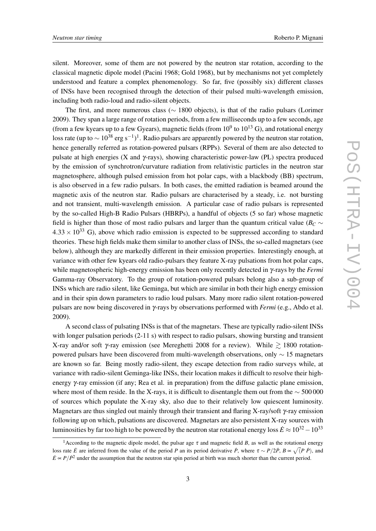silent. Moreover, some of them are not powered by the neutron star rotation, according to the classical magnetic dipole model (Pacini 1968; Gold 1968), but by mechanisms not yet completely understood and feature a complex phenomenology. So far, five (possibly six) different classes of INSs have been recognised through the detection of their pulsed multi-wavelength emission, including both radio-loud and radio-silent objects.

The first, and more numerous class (∼ 1800 objects), is that of the radio pulsars (Lorimer 2009). They span a large range of rotation periods, from a few milliseconds up to a few seconds, age (from a few kyears up to a few Gyears), magnetic fields (from  $10^9$  to  $10^{13}$  G), and rotational energy loss rate (up to  $\sim 10^{38}$  erg s<sup>-1</sup>)<sup>1</sup>. Radio pulsars are apparently powered by the neutron star rotation, hence generally referred as rotation-powered pulsars (RPPs). Several of them are also detected to pulsate at high energies (X and γ-rays), showing characteristic power-law (PL) spectra produced by the emission of synchrotron/curvature radiation from relativistic particles in the neutron star magnetosphere, although pulsed emission from hot polar caps, with a blackbody (BB) spectrum, is also observed in a few radio pulsars. In both cases, the emitted radiation is beamed around the magnetic axis of the neutron star. Radio pulsars are characterised by a steady, i.e. not bursting and not transient, multi-wavelength emission. A particular case of radio pulsars is represented by the so-called High-B Radio Pulsars (HBRPs), a handful of objects (5 so far) whose magnetic field is higher than those of most radio pulsars and larger than the quantum critical value ( $B_C \sim$  $4.33 \times 10^{33}$  G), above which radio emission is expected to be suppressed according to standard theories. These high fields make them similar to another class of INSs, the so-called magnetars (see below), although they are markedly different in their emission properties. Interestingly enough, at variance with other few kyears old radio-pulsars they feature X-ray pulsations from hot polar caps, while magnetospheric high-energy emission has been only recently detected in γ-rays by the *Fermi* Gamma-ray Observatory. To the group of rotation-powered pulsars belong also a sub-group of INSs which are radio silent, like Geminga, but which are similar in both their high energy emission and in their spin down parameters to radio loud pulsars. Many more radio silent rotation-powered pulsars are now being discovered in γ-rays by observations performed with *Fermi* (e.g., Abdo et al. 2009).

A second class of pulsating INSs is that of the magnetars. These are typically radio-silent INSs with longer pulsation periods (2-11 s) with respect to radio pulsars, showing bursting and transient X-ray and/or soft  $\gamma$ -ray emission (see Mereghetti 2008 for a review). While  $\geq 1800$  rotationpowered pulsars have been discovered from multi-wavelength observations, only ∼ 15 magnetars are known so far. Being mostly radio-silent, they escape detection from radio surveys while, at variance with radio-silent Geminga-like INSs, their location makes it difficult to resolve their highenergy γ-ray emission (if any; Rea et al. in preparation) from the diffuse galactic plane emission, where most of them reside. In the X-rays, it is difficult to disentangle them out from the  $\sim$  500 000 of sources which populate the X-ray sky, also due to their relatively low quiescent luminosity. Magnetars are thus singled out mainly through their transient and flaring X-ray/soft γ-ray emission following up on which, pulsations are discovered. Magnetars are also persistent X-ray sources with luminosities by far too high to be powered by the neutron star rotational energy loss  $\dot{E} \approx 10^{32} - 10^{33}$ 

<sup>&</sup>lt;sup>1</sup> According to the magnetic dipole model, the pulsar age  $\tau$  and magnetic field *B*, as well as the rotational energy loss rate  $\dot{E}$  are inferred from the value of the period *P* an its period derivative  $\dot{P}$ , where  $\tau \sim P/2\dot{P}$ ,  $B \propto \sqrt{(P \dot{P})}$ , and  $\vec{E} \propto P/\hat{P}^2$  under the assumption that the neutron star spin period at birth was much shorter than the current period.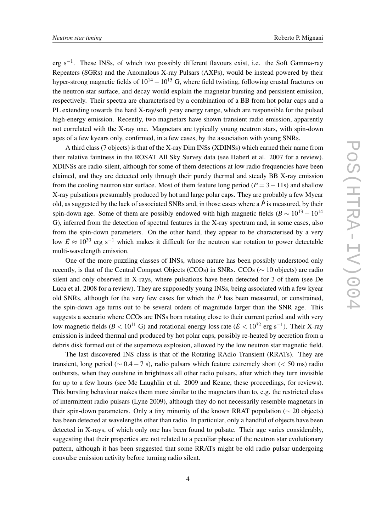erg s<sup>-1</sup>. These INSs, of which two possibly different flavours exist, i.e. the Soft Gamma-ray Repeaters (SGRs) and the Anomalous X-ray Pulsars (AXPs), would be instead powered by their hyper-strong magnetic fields of  $10^{14} - 10^{15}$  G, where field twisting, following crustal fractures on the neutron star surface, and decay would explain the magnetar bursting and persistent emission, respectively. Their spectra are characterised by a combination of a BB from hot polar caps and a PL extending towards the hard X-ray/soft γ-ray energy range, which are responsible for the pulsed high-energy emission. Recently, two magnetars have shown transient radio emission, apparently not correlated with the X-ray one. Magnetars are typically young neutron stars, with spin-down ages of a few kyears only, confirmed, in a few cases, by the association with young SNRs.

A third class (7 objects) is that of the X-ray Dim INSs (XDINSs) which earned their name from their relative faintness in the ROSAT All Sky Survey data (see Haberl et al. 2007 for a review). XDINSs are radio-silent, although for some of them detections at low radio frequencies have been claimed, and they are detected only through their purely thermal and steady BB X-ray emission from the cooling neutron star surface. Most of them feature long period  $(P = 3 - 11s)$  and shallow X-ray pulsations presumably produced by hot and large polar caps. They are probably a few Myear old, as suggested by the lack of associated SNRs and, in those cases where a  $\dot{P}$  is measured, by their spin-down age. Some of them are possibly endowed with high magnetic fields ( $B \sim 10^{13} - 10^{14}$ G), inferred from the detection of spectral features in the X-ray spectrum and, in some cases, also from the spin-down parameters. On the other hand, they appear to be characterised by a very low  $\dot{E} \approx 10^{30}$  erg s<sup>-1</sup> which makes it difficult for the neutron star rotation to power detectable multi-wavelength emission.

One of the more puzzling classes of INSs, whose nature has been possibly understood only recently, is that of the Central Compact Objects (CCOs) in SNRs. CCOs (∼ 10 objects) are radio silent and only observed in X-rays, where pulsations have been detected for 3 of them (see De Luca et al. 2008 for a review). They are supposedly young INSs, being associated with a few kyear old SNRs, although for the very few cases for which the  $\dot{P}$  has been measured, or constrained, the spin-down age turns out to be several orders of magnitude larger than the SNR age. This suggests a scenario where CCOs are INSs born rotating close to their current period and with very low magnetic fields ( $B < 10^{11}$  G) and rotational energy loss rate ( $\dot{E} < 10^{32}$  erg s<sup>-1</sup>). Their X-ray emission is indeed thermal and produced by hot polar caps, possibly re-heated by accretion from a debris disk formed out of the supernova explosion, allowed by the low neutron star magnetic field.

The last discovered INS class is that of the Rotating RAdio Transient (RRATs). They are transient, long period ( $\sim 0.4 - 7$  s), radio pulsars which feature extremely short ( $\lt 50$  ms) radio outbursts, when they outshine in brightness all other radio pulsars, after which they turn invisible for up to a few hours (see Mc Laughlin et al. 2009 and Keane, these proceedings, for reviews). This bursting behaviour makes them more similar to the magnetars than to, e.g. the restricted class of intermittent radio pulsars (Lyne 2009), although they do not necessarily resemble magnetars in their spin-down parameters. Only a tiny minority of the known RRAT population ( $\sim$  20 objects) has been detected at wavelengths other than radio. In particular, only a handful of objects have been detected in X-rays, of which only one has been found to pulsate. Their age varies considerably, suggesting that their properties are not related to a peculiar phase of the neutron star evolutionary pattern, although it has been suggested that some RRATs might be old radio pulsar undergoing convulse emission activity before turning radio silent.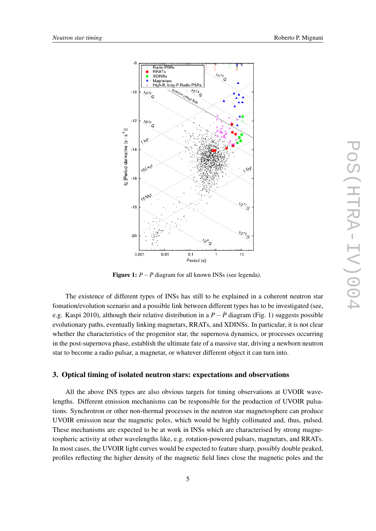

Figure 1:  $P - \dot{P}$  diagram for all known INSs (see legenda).

The existence of different types of INSs has still to be explained in a coherent neutron star fomation/evolution scenario and a possible link between different types has to be investigated (see, e.g. Kaspi 2010), although their relative distribution in a *P*−*P*˙ diagram (Fig. 1) suggests possible evolutionary paths, eventually linking magnetars, RRATs, and XDINSs. In particular, it is not clear whether the characteristics of the progenitor star, the supernova dynamics, or processes occurring in the post-supernova phase, establish the ultimate fate of a massive star, driving a newborn neutron star to become a radio pulsar, a magnetar, or whatever different object it can turn into.

#### 3. Optical timing of isolated neutron stars: expectations and observations

All the above INS types are also obvious targets for timing observations at UVOIR wavelengths. Different emission mechanisms can be responsible for the production of UVOIR pulsations. Synchrotron or other non-thermal processes in the neutron star magnetosphere can produce UVOIR emission near the magnetic poles, which would be highly collimated and, thus, pulsed. These mechanisms are expected to be at work in INSs which are characterised by strong magnetospheric activity at other wavelengths like, e.g. rotation-powered pulsars, magnetars, and RRATs. In most cases, the UVOIR light curves would be expected to feature sharp, possibly double peaked, profiles reflecting the higher density of the magnetic field lines close the magnetic poles and the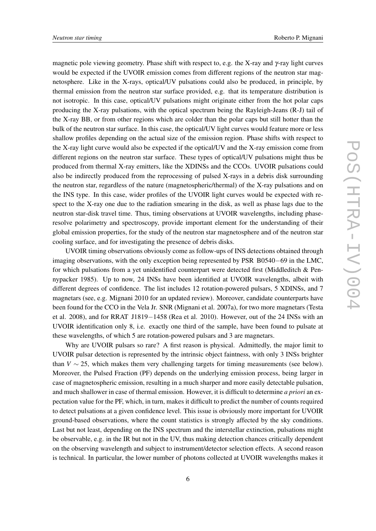magnetic pole viewing geometry. Phase shift with respect to, e.g. the X-ray and γ-ray light curves would be expected if the UVOIR emission comes from different regions of the neutron star magnetosphere. Like in the X-rays, optical/UV pulsations could also be produced, in principle, by thermal emission from the neutron star surface provided, e.g. that its temperature distribution is not isotropic. In this case, optical/UV pulsations might originate either from the hot polar caps producing the X-ray pulsations, with the optical spectrum being the Rayleigh-Jeans (R-J) tail of the X-ray BB, or from other regions which are colder than the polar caps but still hotter than the bulk of the neutron star surface. In this case, the optical/UV light curves would feature more or less shallow profiles depending on the actual size of the emission region. Phase shifts with respect to the X-ray light curve would also be expected if the optical/UV and the X-ray emission come from different regions on the neutron star surface. These types of optical/UV pulsations might thus be produced from thermal X-ray emitters, like the XDINSs and the CCOs. UVOIR pulsations could also be indirectly produced from the reprocessing of pulsed X-rays in a debris disk surrounding the neutron star, regardless of the nature (magnetospheric/thermal) of the X-ray pulsations and on the INS type. In this case, wider profiles of the UVOIR light curves would be expected with respect to the X-ray one due to the radiation smearing in the disk, as well as phase lags due to the neutron star-disk travel time. Thus, timing observations at UVOIR wavelengths, including phaseresolve polarimetry and spectroscopy, provide important element for the understanding of their global emission properties, for the study of the neutron star magnetosphere and of the neutron star cooling surface, and for investigating the presence of debris disks.

UVOIR timing observations obviously come as follow-ups of INS detections obtained through imaging observations, with the only exception being represented by PSR B0540−69 in the LMC, for which pulsations from a yet unidentified counterpart were detected first (Middleditch & Pennypacker 1985). Up to now, 24 INSs have been identified at UVOIR wavelengths, albeit with different degrees of confidence. The list includes 12 rotation-powered pulsars, 5 XDINSs, and 7 magnetars (see, e.g. Mignani 2010 for an updated review). Moreover, candidate counterparts have been found for the CCO in the Vela Jr. SNR (Mignani et al. 2007a), for two more magnetars (Testa et al. 2008), and for RRAT J1819−1458 (Rea et al. 2010). However, out of the 24 INSs with an UVOIR identification only 8, i.e. exactly one third of the sample, have been found to pulsate at these wavelengths, of which 5 are rotation-powered pulsars and 3 are magnetars.

Why are UVOIR pulsars so rare? A first reason is physical. Admittedly, the major limit to UVOIR pulsar detection is represented by the intrinsic object faintness, with only 3 INSs brighter than *V*  $\sim$  25, which makes them very challenging targets for timing measurements (see below). Moreover, the Pulsed Fraction (PF) depends on the underlying emission process, being larger in case of magnetospheric emission, resulting in a much sharper and more easily detectable pulsation, and much shallower in case of thermal emission. However, it is difficult to determine *a priori* an expectation value for the PF, which, in turn, makes it difficult to predict the number of counts required to detect pulsations at a given confidence level. This issue is obviously more important for UVOIR ground-based observations, where the count statistics is strongly affected by the sky conditions. Last but not least, depending on the INS spectrum and the interstellar extinction, pulsations might be observable, e.g. in the IR but not in the UV, thus making detection chances critically dependent on the observing wavelength and subject to instrument/detector selection effects. A second reason is technical. In particular, the lower number of photons collected at UVOIR wavelengths makes it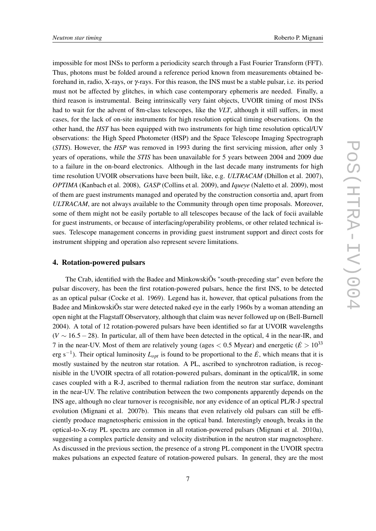impossible for most INSs to perform a periodicity search through a Fast Fourier Transform (FFT). Thus, photons must be folded around a reference period known from measurements obtained beforehand in, radio, X-rays, or γ-rays. For this reason, the INS must be a stable pulsar, i.e. its period must not be affected by glitches, in which case contemporary ephemeris are needed. Finally, a third reason is instrumental. Being intrinsically very faint objects, UVOIR timing of most INSs had to wait for the advent of 8m-class telescopes, like the *VLT*, although it still suffers, in most cases, for the lack of on-site instruments for high resolution optical timing observations. On the other hand, the *HST* has been equipped with two instruments for high time resolution optical/UV observations: the High Speed Photometer (HSP) and the Space Telescope Imaging Spectrograph (*STIS*). However, the *HSP* was removed in 1993 during the first servicing mission, after only 3 years of operations, while the *STIS* has been unavailable for 5 years between 2004 and 2009 due to a failure in the on-board electronics. Although in the last decade many instruments for high time resolution UVOIR observations have been built, like, e.g. *ULTRACAM* (Dhillon et al. 2007), *OPTIMA* (Kanbach et al. 2008), *GASP* (Collins et al. 2009), and *Iqueye* (Naletto et al. 2009), most of them are guest instruments managed and operated by the construction consortia and, apart from *ULTRACAM*, are not always available to the Community through open time proposals. Moreover, some of them might not be easily portable to all telescopes because of the lack of focii available for guest instruments, or because of interfacing/operability problems, or other related technical issues. Telescope management concerns in providing guest instrument support and direct costs for instrument shipping and operation also represent severe limitations.

#### 4. Rotation-powered pulsars

The Crab, identified with the Badee and MinkowskiÕs "south-preceding star" even before the pulsar discovery, has been the first rotation-powered pulsars, hence the first INS, to be detected as an optical pulsar (Cocke et al. 1969). Legend has it, however, that optical pulsations from the Badee and MinkowskiÕs star were detected naked eye in the early 1960s by a woman attending an open night at the Flagstaff Observatory, although that claim was never followed up on (Bell-Burnell 2004). A total of 12 rotation-powered pulsars have been identified so far at UVOIR wavelengths (*V* ∼ 16.5−28). In particular, all of them have been detected in the optical, 4 in the near-IR, and 7 in the near-UV. Most of them are relatively young (ages  $< 0.5$  Myear) and energetic ( $\dot{E} > 10^{33}$ erg s−<sup>1</sup> ). Their optical luminosity *Lopt* is found to be proportional to the *E*˙, which means that it is mostly sustained by the neutron star rotation. A PL, ascribed to synchrotron radiation, is recognisible in the UVOIR spectra of all rotation-powered pulsars, dominant in the optical/IR, in some cases coupled with a R-J, ascribed to thermal radiation from the neutron star surface, dominant in the near-UV. The relative contribution between the two components apparently depends on the INS age, although no clear turnover is recognisible, nor any evidence of an optical PL/R-J spectral evolution (Mignani et al. 2007b). This means that even relatively old pulsars can still be efficiently produce magnetospheric emission in the optical band. Interestingly enough, breaks in the optical-to-X-ray PL spectra are common in all rotation-powered pulsars (Mignani et al. 2010a), suggesting a complex particle density and velocity distribution in the neutron star magnetosphere. As discussed in the previous section, the presence of a strong PL component in the UVOIR spectra makes pulsations an expected feature of rotation-powered pulsars. In general, they are the most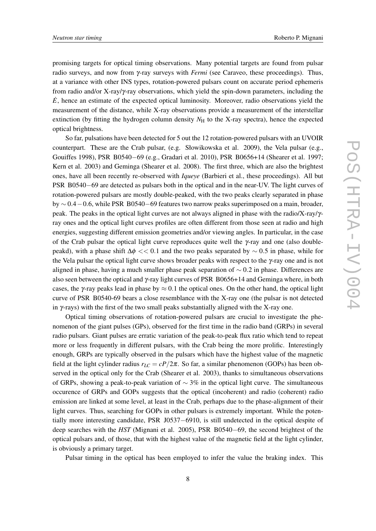promising targets for optical timing observations. Many potential targets are found from pulsar radio surveys, and now from γ-ray surveys with *Fermi* (see Caraveo, these proceedings). Thus, at a variance with other INS types, rotation-powered pulsars count on accurate period ephemeris from radio and/or X-ray/γ-ray observations, which yield the spin-down parameters, including the  $\dot{E}$ , hence an estimate of the expected optical luminosity. Moreover, radio observations yield the measurement of the distance, while X-ray observations provide a measurement of the interstellar extinction (by fitting the hydrogen column density  $N<sub>H</sub>$  to the X-ray spectra), hence the expected optical brightness.

So far, pulsations have been detected for 5 out the 12 rotation-powered pulsars with an UVOIR counterpart. These are the Crab pulsar, (e.g. Słowikowska et al. 2009), the Vela pulsar (e.g., Gouiffes 1998), PSR B0540−69 (e.g., Gradari et al. 2010), PSR B0656+14 (Shearer et al. 1997; Kern et al. 2003) and Geminga (Shearer et al. 2008). The first three, which are also the brightest ones, have all been recently re-observed with *Iqueye* (Barbieri et al., these proceedings). All but PSR B0540−69 are detected as pulsars both in the optical and in the near-UV. The light curves of rotation-powered pulsars are mostly double-peaked, with the two peaks clearly separated in phase by ∼ 0.4−0.6, while PSR B0540−69 features two narrow peaks superimposed on a main, broader, peak. The peaks in the optical light curves are not always aligned in phase with the radio/X-ray/γray ones and the optical light curves profiles are often different from those seen at radio and high energies, suggesting different emission geometries and/or viewing angles. In particular, in the case of the Crab pulsar the optical light curve reproduces quite well the  $\gamma$ -ray and one (also doublepeakd), with a phase shift  $\Delta \phi << 0.1$  and the two peaks separated by  $\sim 0.5$  in phase, while for the Vela pulsar the optical light curve shows broader peaks with respect to the γ-ray one and is not aligned in phase, having a much smaller phase peak separation of  $\sim 0.2$  in phase. Differences are also seen between the optical and γ-ray light curves of PSR B0656+14 and Geminga where, in both cases, the γ-ray peaks lead in phase by  $\approx 0.1$  the optical ones. On the other hand, the optical light curve of PSR B0540-69 bears a close resemblance with the X-ray one (the pulsar is not detected in  $\gamma$ -rays) with the first of the two small peaks substantially aligned with the X-ray one.

Optical timing observations of rotation-powered pulsars are crucial to investigate the phenomenon of the giant pulses (GPs), observed for the first time in the radio band (GRPs) in several radio pulsars. Giant pulses are erratic variation of the peak-to-peak flux ratio which tend to repeat more or less frequently in different pulsars, with the Crab being the more prolific. Interestingly enough, GRPs are typically observed in the pulsars which have the highest value of the magnetic field at the light cylinder radius  $r_{LC} = cP/2\pi$ . So far, a similar phenomenon (GOPs) has been observed in the optical only for the Crab (Shearer et al. 2003), thanks to simultaneous observations of GRPs, showing a peak-to-peak variation of  $\sim$  3% in the optical light curve. The simultaneous occurence of GRPs and GOPs suggests that the optical (incoherent) and radio (coherent) radio emission are linked at some level, at least in the Crab, perhaps due to the phase-alignment of their light curves. Thus, searching for GOPs in other pulsars is extremely important. While the potentially more interesting candidate, PSR J0537−6910, is still undetected in the optical despite of deep searches with the *HST* (Mignani et al. 2005), PSR B0540−69, the second brightest of the optical pulsars and, of those, that with the highest value of the magnetic field at the light cylinder, is obviously a primary target.

Pulsar timing in the optical has been employed to infer the value the braking index. This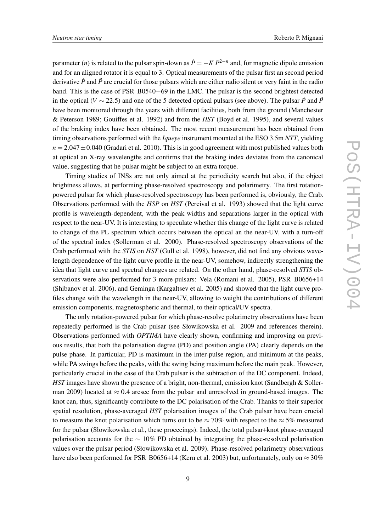parameter (*n*) is related to the pulsar spin-down as  $\dot{P} = -K P^{2-n}$  and, for magnetic dipole emission and for an aligned rotator it is equal to 3. Optical measurements of the pulsar first an second period derivative *P* and *P* are crucial for those pulsars which are either radio silent or very faint in the radio band. This is the case of PSR B0540−69 in the LMC. The pulsar is the second brightest detected in the optical (*V*  $\sim$  22.5) and one of the 5 detected optical pulsars (see above). The pulsar *P* and *P* have been monitored through the years with different facilities, both from the ground (Manchester & Peterson 1989; Gouiffes et al. 1992) and from the *HST* (Boyd et al. 1995), and several values of the braking index have been obtained. The most recent measurement has been obtained from timing observations performed with the *Iqueye* instrument mounted at the ESO 3.5m *NTT*, yielding  $n = 2.047 \pm 0.040$  (Gradari et al. 2010). This is in good agreement with most published values both at optical an X-ray wavelengths and confirms that the braking index deviates from the canonical value, suggesting that he pulsar might be subject to an extra torque.

Timing studies of INSs are not only aimed at the periodicity search but also, if the object brightness allows, at performing phase-resolved spectroscopy and polarimetry. The first rotationpowered pulsar for which phase-resolved spectroscopy has been performed is, obviously, the Crab. Observations performed with the *HSP* on *HST* (Percival et al. 1993) showed that the light curve profile is wavelength-dependent, with the peak widths and separations larger in the optical with respect to the near-UV. It is interesting to speculate whether this change of the light curve is related to change of the PL spectrum which occurs between the optical an the near-UV, with a turn-off of the spectral index (Sollerman et al. 2000). Phase-resolved spectroscopy observations of the Crab performed with the *STIS* on *HST* (Gull et al. 1998), however, did not find any obvious wavelength dependence of the light curve profile in the near-UV, somehow, indirectly strengthening the idea that light curve and spectral changes are related. On the other hand, phase-resolved *STIS* observations were also performed for 3 more pulsars: Vela (Romani et al. 2005), PSR B0656+14 (Shibanov et al. 2006), and Geminga (Kargaltsev et al. 2005) and showed that the light curve profiles change with the wavelength in the near-UV, allowing to weight the contributions of different emission components, magnetospheric and thermal, to their optical/UV spectra.

The only rotation-powered pulsar for which phase-resolve polarimetry observations have been repeatedly performed is the Crab pulsar (see Słowikowska et al. 2009 and references therein). Observations performed with *OPTIMA* have clearly shown, confirming and improving on previous results, that both the polarisation degree (PD) and position angle (PA) clearly depends on the pulse phase. In particular, PD is maximum in the inter-pulse region, and minimum at the peaks, while PA swings before the peaks, with the swing being maximum before the main peak. However, particularly crucial in the case of the Crab pulsar is the subtraction of the DC component. Indeed, *HST* images have shown the presence of a bright, non-thermal, emission knot (Sandbergh & Sollerman 2009) located at  $\approx 0.4$  arcsec from the pulsar and unresolved in ground-based images. The knot can, thus, significantly contribute to the DC polarisation of the Crab. Thanks to their superior spatial resolution, phase-averaged *HST* polarisation images of the Crab pulsar have been crucial to measure the knot polarisation which turns out to be  $\approx 70\%$  with respect to the  $\approx 5\%$  measured for the pulsar (Słowikowska et al., these proceeings). Indeed, the total pulsar+knot phase-averaged polarisation accounts for the  $~10\%$  PD obtained by integrating the phase-resolved polarisation values over the pulsar period (Słowikowska et al. 2009). Phase-resolved polarimetry observations have also been performed for PSR B0656+14 (Kern et al. 2003) but, unfortunately, only on  $\approx 30\%$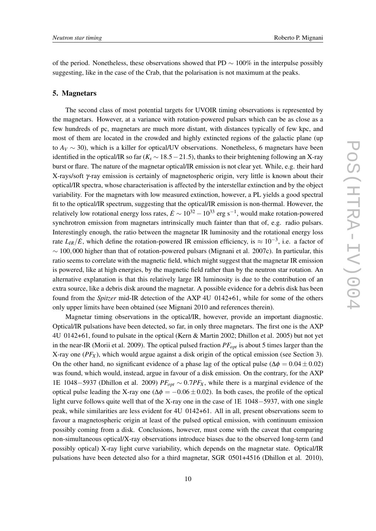of the period. Nonetheless, these observations showed that PD  $\sim 100\%$  in the interpulse possibly suggesting, like in the case of the Crab, that the polarisation is not maximum at the peaks.

#### 5. Magnetars

The second class of most potential targets for UVOIR timing observations is represented by the magnetars. However, at a variance with rotation-powered pulsars which can be as close as a few hundreds of pc, magnetars are much more distant, with distances typically of few kpc, and most of them are located in the crowded and highly extincted regions of the galactic plane (up to  $A_V \sim 30$ ), which is a killer for optical/UV observations. Nonetheless, 6 magnetars have been identified in the optical/IR so far ( $K_s \sim 18.5-21.5$ ), thanks to their brightening following an X-ray burst or flare. The nature of the magnetar optical/IR emission is not clear yet. While, e.g. their hard X-rays/soft γ-ray emission is certainly of magnetospheric origin, very little is known about their optical/IR spectra, whose characterisation is affected by the interstellar extinction and by the object variability. For the magnetars with low measured extinction, however, a PL yields a good spectral fit to the optical/IR spectrum, suggesting that the optical/IR emission is non-thermal. However, the relatively low rotational energy loss rates,  $\dot{E} \sim 10^{32} - 10^{33}$  erg s<sup>-1</sup>, would make rotation-powered synchrotron emission from magnetars intrinsically much fainter than that of, e.g. radio pulsars. Interestingly enough, the ratio between the magnetar IR luminosity and the rotational energy loss rate  $L_{IR}/\dot{E}$ , which define the rotation-powered IR emission efficiency, is  $\approx 10^{-3}$ , i.e. a factor of  $\sim$  100,000 higher than that of rotation-powered pulsars (Mignani et al. 2007c). In particular, this ratio seems to correlate with the magnetic field, which might suggest that the magnetar IR emission is powered, like at high energies, by the magnetic field rather than by the neutron star rotation. An alternative explanation is that this relatively large IR luminosity is due to the contribution of an extra source, like a debris disk around the magnetar. A possible evidence for a debris disk has been found from the *Spitzer* mid-IR detection of the AXP 4U 0142+61, while for some of the others only upper limits have been obtained (see Mignani 2010 and references therein).

Magnetar timing observations in the optical/IR, however, provide an important diagnostic. Optical/IR pulsations have been detected, so far, in only three magnetars. The first one is the AXP 4U 0142+61, found to pulsate in the optical (Kern & Martin 2002; Dhillon et al. 2005) but not yet in the near-IR (Morii et al. 2009). The optical pulsed fraction *PFopt* is about 5 times larger than the X-ray one (*PF<sup>X</sup>* ), which would argue against a disk origin of the optical emission (see Section 3). On the other hand, no significant evidence of a phase lag of the optical pulse ( $\Delta\phi = 0.04 \pm 0.02$ ) was found, which would, instead, argue in favour of a disk emission. On the contrary, for the AXP 1E 1048−5937 (Dhillon et al. 2009) *PFopt* ∼ 0.7*PF<sup>X</sup>* , while there is a marginal evidence of the optical pulse leading the X-ray one ( $\Delta \phi = -0.06 \pm 0.02$ ). In both cases, the profile of the optical light curve follows quite well that of the X-ray one in the case of 1E 1048−5937, with one single peak, while similarities are less evident for 4U 0142+61. All in all, present observations seem to favour a magnetospheric origin at least of the pulsed optical emission, with continuum emission possibly coming from a disk. Conclusions, however, must come with the caveat that comparing non-simultaneous optical/X-ray observations introduce biases due to the observed long-term (and possibly optical) X-ray light curve variability, which depends on the magnetar state. Optical/IR pulsations have been detected also for a third magnetar, SGR 0501+4516 (Dhillon et al. 2010),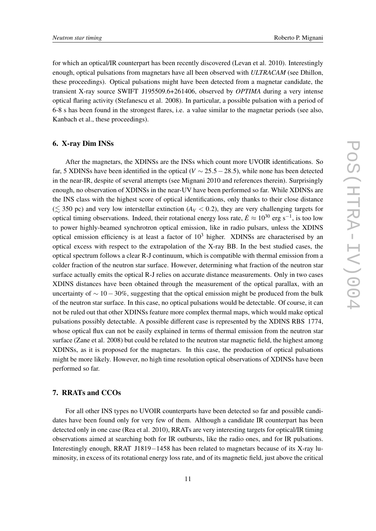for which an optical/IR counterpart has been recently discovered (Levan et al. 2010). Interestingly enough, optical pulsations from magnetars have all been observed with *ULTRACAM* (see Dhillon, these proceedings). Optical pulsations might have been detected from a magnetar candidate, the transient X-ray source SWIFT J195509.6+261406, observed by *OPTIMA* during a very intense optical flaring activity (Stefanescu et al. 2008). In particular, a possible pulsation with a period of 6-8 s has been found in the strongest flares, i.e. a value similar to the magnetar periods (see also, Kanbach et al., these proceedings).

## 6. X-ray Dim INSs

After the magnetars, the XDINSs are the INSs which count more UVOIR identifications. So far, 5 XDINSs have been identified in the optical ( $V \sim 25.5-28.5$ ), while none has been detected in the near-IR, despite of several attempts (see Mignani 2010 and references therein). Surprisingly enough, no observation of XDINSs in the near-UV have been performed so far. While XDINSs are the INS class with the highest score of optical identifications, only thanks to their close distance  $(\leq 350 \text{ pc})$  and very low interstellar extinction ( $A_V < 0.2$ ), they are very challenging targets for optical timing observations. Indeed, their rotational energy loss rate,  $\dot{E} \approx 10^{30}$  erg s<sup>-1</sup>, is too low to power highly-beamed synchrotron optical emission, like in radio pulsars, unless the XDINS optical emission efficiency is at least a factor of  $10<sup>3</sup>$  higher. XDINSs are characterised by an optical excess with respect to the extrapolation of the X-ray BB. In the best studied cases, the optical spectrum follows a clear R-J continuum, which is compatible with thermal emission from a colder fraction of the neutron star surface. However, determining what fraction of the neutron star surface actually emits the optical R-J relies on accurate distance measurements. Only in two cases XDINS distances have been obtained through the measurement of the optical parallax, with an uncertainty of  $\sim 10-30\%$ , suggesting that the optical emission might be produced from the bulk of the neutron star surface. In this case, no optical pulsations would be detectable. Of course, it can not be ruled out that other XDINSs feature more complex thermal maps, which would make optical pulsations possibly detectable. A possible different case is represented by the XDINS RBS 1774, whose optical flux can not be easily explained in terms of thermal emission from the neutron star surface (Zane et al. 2008) but could be related to the neutron star magnetic field, the highest among XDINSs, as it is proposed for the magnetars. In this case, the production of optical pulsations might be more likely. However, no high time resolution optical observations of XDINSs have been performed so far.

## 7. RRATs and CCOs

For all other INS types no UVOIR counterparts have been detected so far and possible candidates have been found only for very few of them. Although a candidate IR counterpart has been detected only in one case (Rea et al. 2010), RRATs are very interesting targets for optical/IR timing observations aimed at searching both for IR outbursts, like the radio ones, and for IR pulsations. Interestingly enough, RRAT J1819−1458 has been related to magnetars because of its X-ray luminosity, in excess of its rotational energy loss rate, and of its magnetic field, just above the critical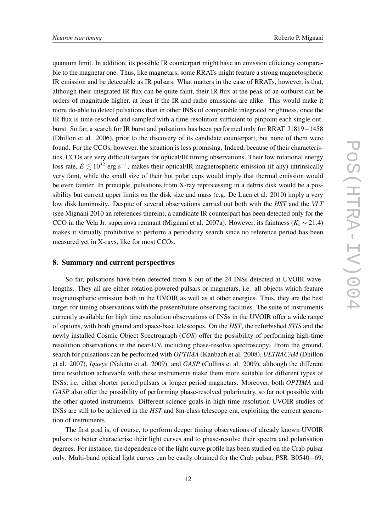quantum limit. In addition, its possible IR counterpart might have an emission efficiency comparable to the magnetar one. Thus, like magnetars, some RRATs might feature a strong magnetospheric IR emission and be detectable as IR pulsars. What matters in the case of RRATs, however, is that, although their integrated IR flux can be quite faint, their IR flux at the peak of an outburst can be orders of magnitude higher, at least if the IR and radio emissions are alike. This would make it more do-able to detect pulsations than in other INSs of comparable integrated brightness, once the IR flux is time-resolved and sampled with a time resolution sufficient to pinpoint each single outburst. So far, a search for IR burst and pulsations has been performed only for RRAT J1819−1458 (Dhillon et al. 2006), prior to the discovery of its candidate counterpart, but none of them were found. For the CCOs, however, the situation is less promising. Indeed, because of their characteristics, CCOs are very difficult targets for optical/IR timing observations. Their low rotational energy loss rate,  $\dot{E} \lesssim 10^{32}$  erg s<sup>-1</sup>, makes their optical/IR magnetospheric emission (if any) intrinsically very faint, while the small size of their hot polar caps would imply that thermal emission would be even fainter. In principle, pulsations from X-ray reprocessing in a debris disk would be a possibility but current upper limits on the disk size and mass (e.g. De Luca et al. 2010) imply a very low disk luminosity. Despite of several observations carried out both with the *HST* and the *VLT* (see Mignani 2010 an references therein), a candidate IR counterpart has been detected only for the CCO in the Vela Jr. supernova remnant (Mignani et al. 2007a). However, its faintness ( $K_s \sim 21.4$ ) makes it virtually prohibitive to perform a periodicity search since no reference period has been measured yet in X-rays, like for most CCOs.

#### 8. Summary and current perspectives

So far, pulsations have been detected from 8 out of the 24 INSs detected at UVOIR wavelengths. They all are either rotation-powered pulsars or magnetars, i.e. all objects which feature magnetospheric emission both in the UVOIR as well as at other energies. Thus, they are the best target for timing observations with the present/future observing facilities. The suite of instruments currently available for high time resolution observations of INSs in the UVOIR offer a wide range of options, with both ground and space-base telescopes. On the *HST*, the refurbished *STIS* and the newly installed Cosmic Object Spectrograph (*COS*) offer the possibility of performing high-time resolution observations in the near-UV, including phase-resolve spectroscopy. From the ground, search for pulsations can be performed with *OPTIMA* (Kanbach et al. 2008), *ULTRACAM* (Dhillon et al. 2007), *Iqueye* (Naletto et al. 2009), and *GASP* (Collins et al. 2009), although the different time resolution achievable with these instruments make them more suitable for different types of INSs, i.e. either shorter period pulsars or longer period magnetars. Moreover, both *OPTIMA* and *GASP* also offer the possibility of performing phase-resolved polarimetry, so far not possible with the other quoted instruments. Different science goals in high time resolution UVOIR studies of INSs are still to be achieved in the *HST* and 8m-class telescope era, exploiting the current generation of instruments.

The first goal is, of course, to perform deeper timing observations of already known UVOIR pulsars to better characterise their light curves and to phase-resolve their spectra and polarisation degrees. For instance, the dependence of the light curve profile has been studied on the Crab pulsar only. Multi-band optical light curves can be easily obtained for the Crab pulsar, PSR B0540−69,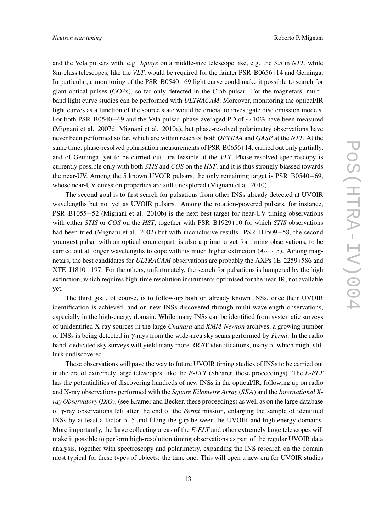and the Vela pulsars with, e.g. *Iqueye* on a middle-size telescope like, e.g. the 3.5 m *NTT*, while 8m-class telescopes, like the *VLT*, would be required for the fainter PSR B0656+14 and Geminga. In particular, a monitoring of the PSR B0540−69 light curve could make it possible to search for giant optical pulses (GOPs), so far only detected in the Crab pulsar. For the magnetars, multiband light curve studies can be performed with *ULTRACAM*. Moreover, monitoring the optical/IR light curves as a function of the source state would be crucial to investigate disc emission models. For both PSR B0540−69 and the Vela pulsar, phase-averaged PD of  $\sim 10\%$  have been measured (Mignani et al. 2007d; Mignani et al. 2010a), but phase-resolved polarimetry observations have never been performed so far, which are within reach of both *OPTIMA* and *GASP* at the *NTT*. At the same time, phase-resolved polarisation measurements of PSR B0656+14, carried out only partially, and of Geminga, yet to be carried out, are feasible at the *VLT*. Phase-resolved spectroscopy is currently possible only with both *STIS* and *COS* on the *HST*, and it is thus strongly biassed towards the near-UV. Among the 5 known UVOIR pulsars, the only remaining target is PSR B0540−69, whose near-UV emission properties are still unexplored (Mignani et al. 2010).

The second goal is to first search for pulsations from other INSs already detected at UVOIR wavelengths but not yet as UVOIR pulsars. Among the rotation-powered pulsars, for instance, PSR B1055−52 (Mignani et al. 2010b) is the next best target for near-UV timing observations with either *STIS* or *COS* on the *HST*, together with PSR B1929+10 for which *STIS* observations had been tried (Mignani et al. 2002) but with inconclusive results. PSR B1509−58, the second youngest pulsar with an optical counterpart, is also a prime target for timing observations, to be carried out at longer wavelengths to cope with its much higher extinction ( $A_V \sim 5$ ). Among magnetars, the best candidates for *ULTRACAM* observations are probably the AXPs 1E 2259+586 and XTE J1810−197. For the others, unfortunately, the search for pulsations is hampered by the high extinction, which requires high-time resolution instruments optimised for the near-IR, not available yet.

The third goal, of course, is to follow-up both on already known INSs, once their UVOIR identification is achieved, and on new INSs discovered through multi-wavelength observations, especially in the high-energy domain. While many INSs can be identified from systematic surveys of unidentified X-ray sources in the large *Chandra* and *XMM-Newton* archives, a growing number of INSs is being detected in γ-rays from the wide-area sky scans performed by *Fermi*. In the radio band, dedicated sky surveys will yield many more RRAT identifications, many of which might still lurk undiscovered.

These observations will pave the way to future UVOIR timing studies of INSs to be carried out in the era of extremely large telescopes, like the *E-ELT* (Shearer, these proceedings). The *E-ELT* has the potentialities of discovering hundreds of new INSs in the optical/IR, following up on radio and X-ray observations performed with the *Square Kilometre Array* (*SKA*) and the *International Xray Observatory* (*IXO)*, (see Kramer and Becker, these proceedings) as well as on the large database of γ-ray observations left after the end of the *Fermi* mission, enlarging the sample of identified INSs by at least a factor of 5 and filling the gap between the UVOIR and high energy domains. More importantly, the large collecting areas of the *E-ELT* and other extremely large telescopes will make it possible to perform high-resolution timing observations as part of the regular UVOIR data analysis, together with spectroscopy and polarimetry, expanding the INS research on the domain most typical for these types of objects: the time one. This will open a new era for UVOIR studies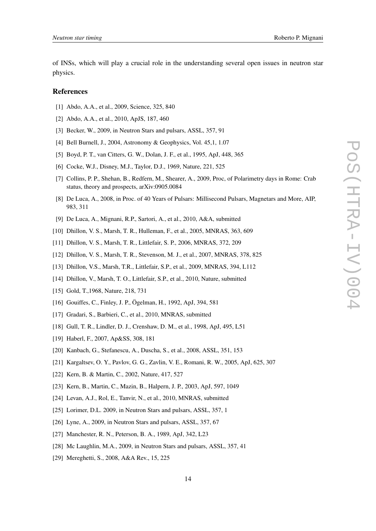of INSs, which will play a crucial role in the understanding several open issues in neutron star physics.

#### References

- [1] Abdo, A.A., et al., 2009, Science, 325, 840
- [2] Abdo, A.A., et al., 2010, ApJS, 187, 460
- [3] Becker, W., 2009, in Neutron Stars and pulsars, ASSL, 357, 91
- [4] Bell Burnell, J., 2004, Astronomy & Geophysics, Vol. 45,1, 1.07
- [5] Boyd, P. T., van Citters, G. W., Dolan, J. F., et al., 1995, ApJ, 448, 365
- [6] Cocke, W.J., Disney, M.J., Taylor, D.J., 1969, Nature, 221, 525
- [7] Collins, P. P., Shehan, B., Redfern, M., Shearer, A., 2009, Proc, of Polarimetry days in Rome: Crab status, theory and prospects, arXiv:0905.0084
- [8] De Luca, A., 2008, in Proc. of 40 Years of Pulsars: Millisecond Pulsars, Magnetars and More, AIP, 983, 311
- [9] De Luca, A., Mignani, R.P., Sartori, A., et al., 2010, A&A, submitted
- [10] Dhillon, V. S., Marsh, T. R., Hulleman, F., et al., 2005, MNRAS, 363, 609
- [11] Dhillon, V. S., Marsh, T. R., Littlefair, S. P., 2006, MNRAS, 372, 209
- [12] Dhillon, V. S., Marsh, T. R., Stevenson, M. J., et al., 2007, MNRAS, 378, 825
- [13] Dhillon, V.S., Marsh, T.R., Littlefair, S.P., et al., 2009, MNRAS, 394, L112
- [14] Dhillon, V., Marsh, T. O., Littlefair, S.P., et al., 2010, Nature, submitted
- [15] Gold, T.,1968, Nature, 218, 731
- [16] Gouiffes, C., Finley, J. P., Ögelman, H., 1992, ApJ, 394, 581
- [17] Gradari, S., Barbieri, C., et al., 2010, MNRAS, submitted
- [18] Gull, T. R., Lindler, D. J., Crenshaw, D. M., et al., 1998, ApJ, 495, L51
- [19] Haberl, F., 2007, Ap&SS, 308, 181
- [20] Kanbach, G., Stefanescu, A., Duscha, S., et al., 2008, ASSL, 351, 153
- [21] Kargaltsev, O. Y., Pavlov, G. G., Zavlin, V. E., Romani, R. W., 2005, ApJ, 625, 307
- [22] Kern, B. & Martin, C., 2002, Nature, 417, 527
- [23] Kern, B., Martin, C., Mazin, B., Halpern, J. P., 2003, ApJ, 597, 1049
- [24] Levan, A.J., Rol, E., Tanvir, N., et al., 2010, MNRAS, submitted
- [25] Lorimer, D.L. 2009, in Neutron Stars and pulsars, ASSL, 357, 1
- [26] Lyne, A., 2009, in Neutron Stars and pulsars, ASSL, 357, 67
- [27] Manchester, R. N., Peterson, B. A., 1989, ApJ, 342, L23
- [28] Mc Laughlin, M.A., 2009, in Neutron Stars and pulsars, ASSL, 357, 41
- [29] Mereghetti, S., 2008, A&A Rev., 15, 225